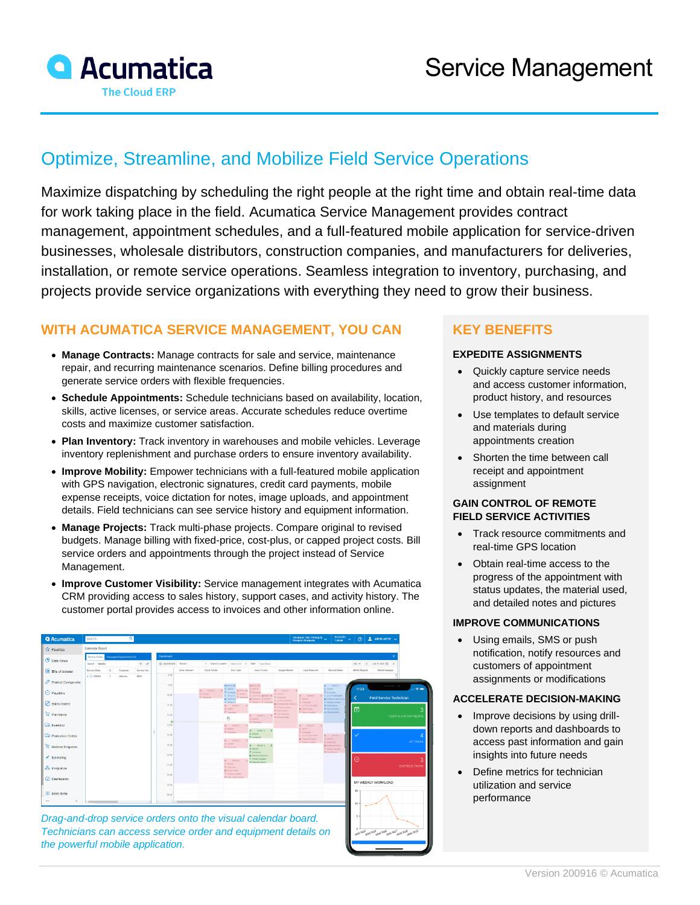

# Optimize, Streamline, and Mobilize Field Service Operations

Maximize dispatching by scheduling the right people at the right time and obtain real-time data for work taking place in the field. Acumatica Service Management provides contract management, appointment schedules, and a full-featured mobile application for service-driven businesses, wholesale distributors, construction companies, and manufacturers for deliveries, installation, or remote service operations. Seamless integration to inventory, purchasing, and projects provide service organizations with everything they need to grow their business.

# **WITH ACUMATICA SERVICE MANAGEMENT, YOU CAN**

- **Manage Contracts:** Manage contracts for sale and service, maintenance repair, and recurring maintenance scenarios. Define billing procedures and generate service orders with flexible frequencies.
- **Schedule Appointments:** Schedule technicians based on availability, location, skills, active licenses, or service areas. Accurate schedules reduce overtime costs and maximize customer satisfaction.
- **Plan Inventory:** Track inventory in warehouses and mobile vehicles. Leverage inventory replenishment and purchase orders to ensure inventory availability.
- **Improve Mobility:** Empower technicians with a full-featured mobile application with GPS navigation, electronic signatures, credit card payments, mobile expense receipts, voice dictation for notes, image uploads, and appointment details. Field technicians can see service history and equipment information.
- **Manage Projects:** Track multi-phase projects. Compare original to revised budgets. Manage billing with fixed-price, cost-plus, or capped project costs. Bill service orders and appointments through the project instead of Service Management.
- **Improve Customer Visibility:** Service management integrates with Acumatica CRM providing access to sales history, support cases, and activity history. The customer portal provides access to invoices and other information online.



*Drag-and-drop service orders onto the visual calendar board. Technicians can access service order and equipment details on the powerful mobile application.*

# **KEY BENEFITS**

#### **EXPEDITE ASSIGNMENTS**

- Quickly capture service needs and access customer information, product history, and resources
- Use templates to default service and materials during appointments creation
- Shorten the time between call receipt and appointment assignment

#### **GAIN CONTROL OF REMOTE FIELD SERVICE ACTIVITIES**

- Track resource commitments and real-time GPS location
- Obtain real-time access to the progress of the appointment with status updates, the material used, and detailed notes and pictures

#### **IMPROVE COMMUNICATIONS**

• Using emails, SMS or push notification, notify resources and customers of appointment assignments or modifications

#### **ACCELERATE DECISION-MAKING**

- Improve decisions by using drilldown reports and dashboards to access past information and gain insights into future needs
- Define metrics for technician utilization and service performance